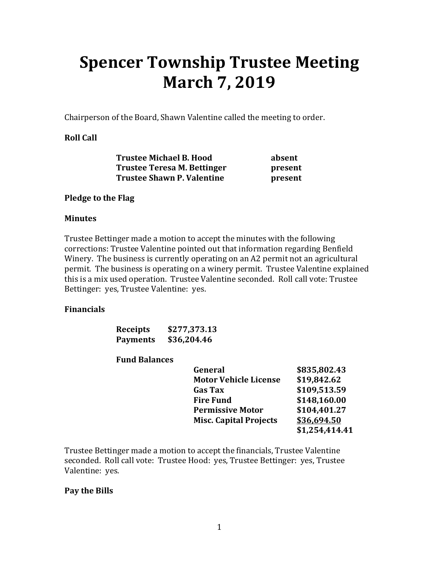# **Spencer Township Trustee Meeting March 7, 2019**

Chairperson of the Board, Shawn Valentine called the meeting to order.

# **Roll Call**

| <b>Trustee Michael B. Hood</b>    | absent  |
|-----------------------------------|---------|
| Trustee Teresa M. Bettinger       | present |
| <b>Trustee Shawn P. Valentine</b> | present |

#### **Pledge to the Flag**

#### **Minutes**

Trustee Bettinger made a motion to accept the minutes with the following corrections: Trustee Valentine pointed out that information regarding Benfield Winery. The business is currently operating on an A2 permit not an agricultural permit. The business is operating on a winery permit. Trustee Valentine explained this is a mix used operation. Trustee Valentine seconded. Roll call vote: Trustee Bettinger: yes, Trustee Valentine: yes.

# **Financials**

| <b>Receipts</b> | \$277,373.13 |
|-----------------|--------------|
| <b>Payments</b> | \$36,204.46  |

#### **Fund Balances**

| General                       | \$835,802.43   |
|-------------------------------|----------------|
| <b>Motor Vehicle License</b>  | \$19,842.62    |
| <b>Gas Tax</b>                | \$109,513.59   |
| <b>Fire Fund</b>              | \$148,160.00   |
| <b>Permissive Motor</b>       | \$104,401.27   |
| <b>Misc. Capital Projects</b> | \$36,694.50    |
|                               | \$1,254,414.41 |

Trustee Bettinger made a motion to accept the financials, Trustee Valentine seconded. Roll call vote: Trustee Hood: yes, Trustee Bettinger: yes, Trustee Valentine: yes.

# **Pay the Bills**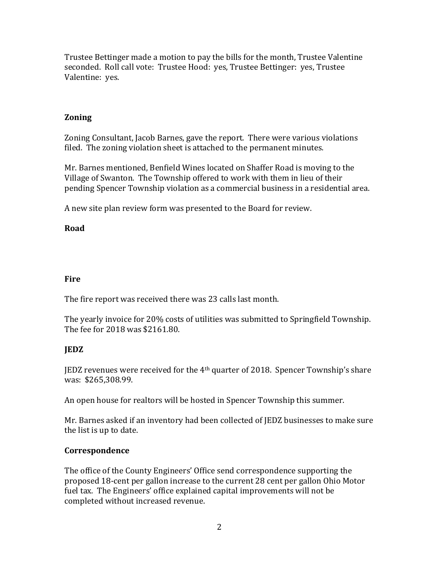Trustee Bettinger made a motion to pay the bills for the month, Trustee Valentine seconded. Roll call vote: Trustee Hood: yes, Trustee Bettinger: yes, Trustee Valentine: yes.

# **Zoning**

Zoning Consultant, Jacob Barnes, gave the report. There were various violations filed. The zoning violation sheet is attached to the permanent minutes.

Mr. Barnes mentioned, Benfield Wines located on Shaffer Road is moving to the Village of Swanton. The Township offered to work with them in lieu of their pending Spencer Township violation as a commercial business in a residential area.

A new site plan review form was presented to the Board for review.

# **Road**

# **Fire**

The fire report was received there was 23 calls last month.

The yearly invoice for 20% costs of utilities was submitted to Springfield Township. The fee for 2018 was \$2161.80.

# **JEDZ**

JEDZ revenues were received for the  $4<sup>th</sup>$  quarter of 2018. Spencer Township's share was: \$265,308.99.

An open house for realtors will be hosted in Spencer Township this summer.

Mr. Barnes asked if an inventory had been collected of JEDZ businesses to make sure the list is up to date.

# **Correspondence**

The office of the County Engineers' Office send correspondence supporting the proposed 18-cent per gallon increase to the current 28 cent per gallon Ohio Motor fuel tax. The Engineers' office explained capital improvements will not be completed without increased revenue.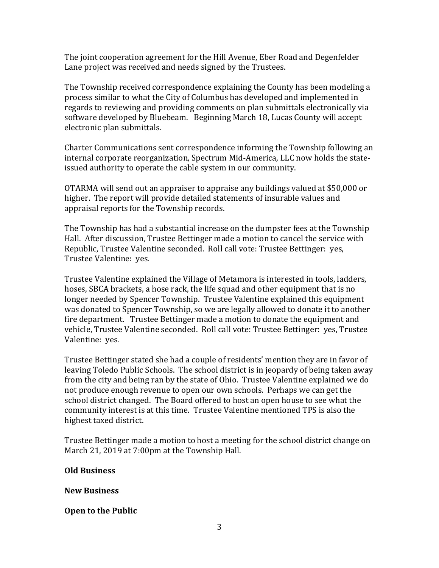The joint cooperation agreement for the Hill Avenue, Eber Road and Degenfelder Lane project was received and needs signed by the Trustees.

The Township received correspondence explaining the County has been modeling a process similar to what the City of Columbus has developed and implemented in regards to reviewing and providing comments on plan submittals electronically via software developed by Bluebeam. Beginning March 18, Lucas County will accept electronic plan submittals.

Charter Communications sent correspondence informing the Township following an internal corporate reorganization, Spectrum Mid-America, LLC now holds the stateissued authority to operate the cable system in our community.

OTARMA will send out an appraiser to appraise any buildings valued at \$50,000 or higher. The report will provide detailed statements of insurable values and appraisal reports for the Township records.

The Township has had a substantial increase on the dumpster fees at the Township Hall. After discussion, Trustee Bettinger made a motion to cancel the service with Republic, Trustee Valentine seconded. Roll call vote: Trustee Bettinger: yes, Trustee Valentine: yes.

Trustee Valentine explained the Village of Metamora is interested in tools, ladders, hoses, SBCA brackets, a hose rack, the life squad and other equipment that is no longer needed by Spencer Township. Trustee Valentine explained this equipment was donated to Spencer Township, so we are legally allowed to donate it to another fire department. Trustee Bettinger made a motion to donate the equipment and vehicle, Trustee Valentine seconded. Roll call vote: Trustee Bettinger: yes, Trustee Valentine: yes.

Trustee Bettinger stated she had a couple of residents' mention they are in favor of leaving Toledo Public Schools. The school district is in jeopardy of being taken away from the city and being ran by the state of Ohio. Trustee Valentine explained we do not produce enough revenue to open our own schools. Perhaps we can get the school district changed. The Board offered to host an open house to see what the community interest is at this time. Trustee Valentine mentioned TPS is also the highest taxed district.

Trustee Bettinger made a motion to host a meeting for the school district change on March 21, 2019 at 7:00pm at the Township Hall.

# **Old Business**

# **New Business**

# **Open to the Public**